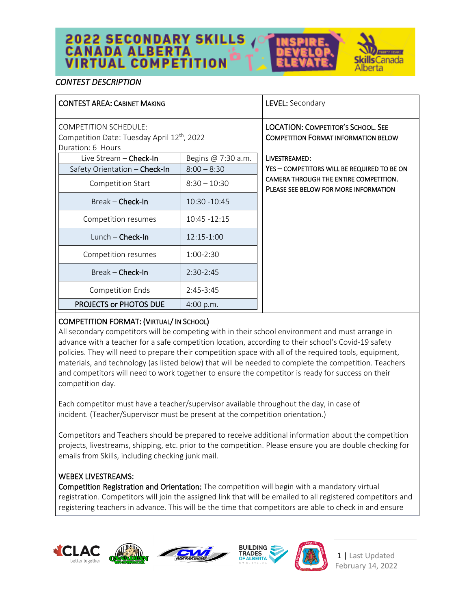# **2022 SECONDARY SKILLS<br>CANADA ALBERTA<br>VIRTUAL COMPETITION**



# *CONTEST DESCRIPTION*

| <b>CONTEST AREA: CABINET MAKING</b>                                                                          |                    | LEVEL: Secondary                                                                         |
|--------------------------------------------------------------------------------------------------------------|--------------------|------------------------------------------------------------------------------------------|
| <b>COMPETITION SCHEDULE:</b><br>Competition Date: Tuesday April 12 <sup>th</sup> , 2022<br>Duration: 6 Hours |                    | <b>LOCATION: COMPETITOR'S SCHOOL, SEE</b><br><b>COMPETITION FORMAT INFORMATION BELOW</b> |
| Live Stream - Check-In                                                                                       | Begins @ 7:30 a.m. | LIVESTREAMED:                                                                            |
| Safety Orientation - Check-In                                                                                | $8:00 - 8:30$      | YES - COMPETITORS WILL BE REQUIRED TO BE ON                                              |
| Competition Start                                                                                            | $8:30 - 10:30$     | CAMERA THROUGH THE ENTIRE COMPETITION.<br>PLEASE SEE BELOW FOR MORE INFORMATION          |
| $Break$ – Check-In                                                                                           | $10:30 - 10:45$    |                                                                                          |
| Competition resumes                                                                                          | $10:45 - 12:15$    |                                                                                          |
| Lunch - Check-In                                                                                             | 12:15-1:00         |                                                                                          |
| Competition resumes                                                                                          | $1:00-2:30$        |                                                                                          |
| Break - Check-In                                                                                             | $2:30-2:45$        |                                                                                          |
| <b>Competition Ends</b>                                                                                      | $2:45-3:45$        |                                                                                          |
| PROJECTS or PHOTOS DUE                                                                                       | 4:00 p.m.          |                                                                                          |

# COMPETITION FORMAT: (VIRTUAL/ IN SCHOOL)

All secondary competitors will be competing with in their school environment and must arrange in advance with a teacher for a safe competition location, according to their school's Covid-19 safety policies. They will need to prepare their competition space with all of the required tools, equipment, materials, and technology (as listed below) that will be needed to complete the competition. Teachers and competitors will need to work together to ensure the competitor is ready for success on their competition day.

Each competitor must have a teacher/supervisor available throughout the day, in case of incident. (Teacher/Supervisor must be present at the competition orientation.)

Competitors and Teachers should be prepared to receive additional information about the competition projects, livestreams, shipping, etc. prior to the competition. Please ensure you are double checking for emails from Skills, including checking junk mail.

# WEBEX LIVESTREAMS:

Competition Registration and Orientation: The competition will begin with a mandatory virtual registration. Competitors will join the assigned link that will be emailed to all registered competitors and registering teachers in advance. This will be the time that competitors are able to check in and ensure









1 **|** Last Updated February 14, 2022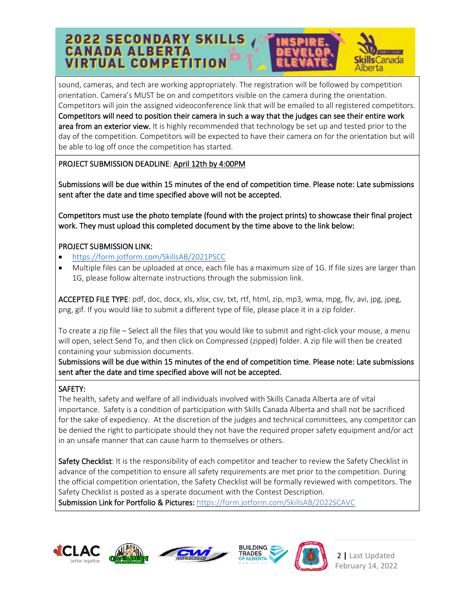# **2022 SECONDARY SKILLS<br>CANADA ALBERTA<br>VIRTUAL COMPETITION** anada perta

sound, cameras, and tech are working appropriately. The registration will be followed by competition orientation. Camera's MUST be on and competitors visible on the camera during the orientation. Competitors will join the assigned videoconference link that will be emailed to all registered competitors. Competitors will need to position their camera in such a way that the judges can see their entire work area from an exterior view. It is highly recommended that technology be set up and tested prior to the day of the competition. Competitors will be expected to have their camera on for the orientation but will be able to log off once the competition has started.

# PROJECT SUBMISSION DEADLINE: April 12th by 4:00PM

Submissions will be due within 15 minutes of the end of competition time. Please note: Late submissions sent after the date and time specified above will not be accepted.

Competitors must use the photo template (found with the project prints) to showcase their final project work. They must upload this completed document by the time above to the link below:

# PROJECT SUBMISSION LINK:

- <https://form.jotform.com/SkillsAB/2021PSCC>
- Multiple files can be uploaded at once, each file has a maximum size of 1G. If file sizes are larger than 1G, please follow alternate instructions through the submission link.

ACCEPTED FILE TYPE: pdf, doc, docx, xls, xlsx, csv, txt, rtf, html, zip, mp3, wma, mpg, flv, avi, jpg, jpeg, png, gif. If you would like to submit a different type of file, please place it in a zip folder.

To create a zip file – Select all the files that you would like to submit and right-click your mouse, a menu will open, select Send To, and then click on Compressed (zipped) folder. A zip file will then be created containing your submission documents.

Submissions will be due within 15 minutes of the end of competition time. Please note: Late submissions sent after the date and time specified above will not be accepted.

# SAFETY:

The health, safety and welfare of all individuals involved with Skills Canada Alberta are of vital importance. Safety is a condition of participation with Skills Canada Alberta and shall not be sacrificed for the sake of expediency. At the discretion of the judges and technical committees, any competitor can be denied the right to participate should they not have the required proper safety equipment and/or act in an unsafe manner that can cause harm to themselves or others.

Safety Checklist: It is the responsibility of each competitor and teacher to review the Safety Checklist in advance of the competition to ensure all safety requirements are met prior to the competition. During the official competition orientation, the Safety Checklist will be formally reviewed with competitors. The Safety Checklist is posted as a sperate document with the Contest Description. Submission Link for Portfolio & Pictures: <https://form.jotform.com/SkillsAB/2022SCAVC>





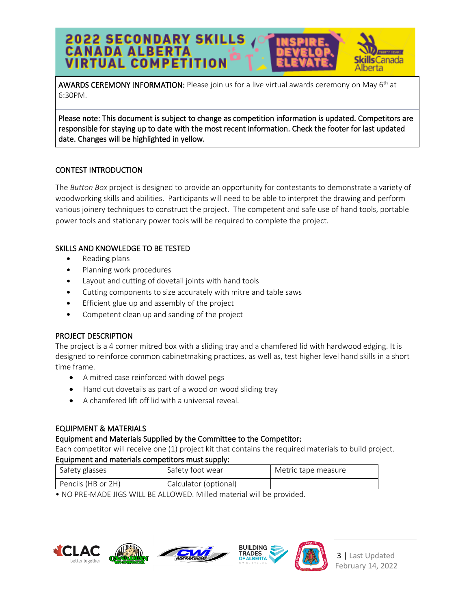# **2022 SECONDARY SKILLS<br>CANADA ALBERTA<br>VIRTUAL COMPETITION s**Canada Iberta

AWARDS CEREMONY INFORMATION: Please join us for a live virtual awards ceremony on May 6<sup>th</sup> at 6:30PM.

Please note: This document is subject to change as competition information is updated. Competitors are responsible for staying up to date with the most recent information. Check the footer for last updated date. Changes will be highlighted in yellow.

# CONTEST INTRODUCTION

The *Button Box* project is designed to provide an opportunity for contestants to demonstrate a variety of woodworking skills and abilities. Participants will need to be able to interpret the drawing and perform various joinery techniques to construct the project. The competent and safe use of hand tools, portable power tools and stationary power tools will be required to complete the project.

# SKILLS AND KNOWLEDGE TO BE TESTED

- Reading plans
- Planning work procedures
- Layout and cutting of dovetail joints with hand tools
- Cutting components to size accurately with mitre and table saws
- Efficient glue up and assembly of the project
- Competent clean up and sanding of the project

# PROJECT DESCRIPTION

The project is a 4 corner mitred box with a sliding tray and a chamfered lid with hardwood edging. It is designed to reinforce common cabinetmaking practices, as well as, test higher level hand skills in a short time frame.

- A mitred case reinforced with dowel pegs
- Hand cut dovetails as part of a wood on wood sliding tray
- A chamfered lift off lid with a universal reveal.

# EQUIPMENT & MATERIALS

# Equipment and Materials Supplied by the Committee to the Competitor:

Each competitor will receive one (1) project kit that contains the required materials to build project.

# Equipment and materials competitors must supply:

| Safety glasses                              | Safety foot wear | Metric tape measure |  |
|---------------------------------------------|------------------|---------------------|--|
| Pencils (HB or 2H)<br>Calculator (optional) |                  |                     |  |

• NO PRE-MADE JIGS WILL BE ALLOWED. Milled material will be provided.







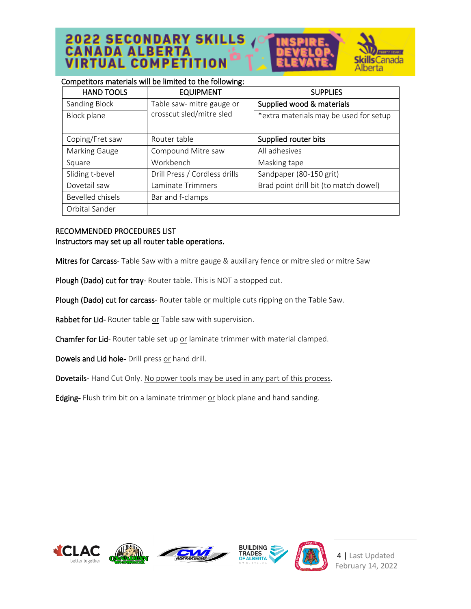**2022 SECONDARY SKILLS**<br>CANADA ALBERTA **VIRTUAL COMPETITION** 



#### Competitors materials will be limited to the following:

| <b>HAND TOOLS</b> | <b>EQUIPMENT</b>              | <b>SUPPLIES</b>                        |
|-------------------|-------------------------------|----------------------------------------|
| Sanding Block     | Table saw- mitre gauge or     | Supplied wood & materials              |
| Block plane       | crosscut sled/mitre sled      | *extra materials may be used for setup |
|                   |                               |                                        |
| Coping/Fret saw   | Router table                  | Supplied router bits                   |
| Marking Gauge     | Compound Mitre saw            | All adhesives                          |
| Square            | Workbench                     | Masking tape                           |
| Sliding t-bevel   | Drill Press / Cordless drills | Sandpaper (80-150 grit)                |
| Dovetail saw      | Laminate Trimmers             | Brad point drill bit (to match dowel)  |
| Bevelled chisels  | Bar and f-clamps              |                                        |
| Orbital Sander    |                               |                                        |

#### RECOMMENDED PROCEDURES LIST Instructors may set up all router table operations.

Mitres for Carcass- Table Saw with a mitre gauge & auxiliary fence or mitre sled or mitre Saw

Plough (Dado) cut for tray- Router table. This is NOT a stopped cut.

Plough (Dado) cut for carcass- Router table or multiple cuts ripping on the Table Saw.

Rabbet for Lid- Router table or Table saw with supervision.

Chamfer for Lid- Router table set up or laminate trimmer with material clamped.

Dowels and Lid hole- Drill press or hand drill.

Dovetails- Hand Cut Only. No power tools may be used in any part of this process.

Edging- Flush trim bit on a laminate trimmer or block plane and hand sanding.









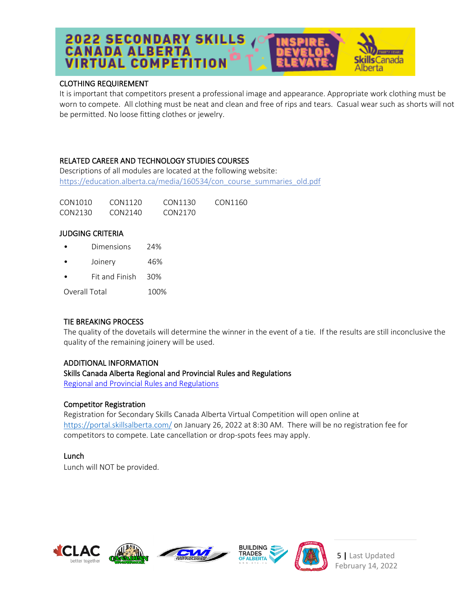# **2022 SECONDARY SKILLS<br>CANADA ALBERTA<br>VIRTUAL COMPETITION s**Canada iberta

#### CLOTHING REQUIREMENT

It is important that competitors present a professional image and appearance. Appropriate work clothing must be worn to compete. All clothing must be neat and clean and free of rips and tears. Casual wear such as shorts will not be permitted. No loose fitting clothes or jewelry.

# RELATED CAREER AND TECHNOLOGY STUDIES COURSES

Descriptions of all modules are located at the following website: [https://education.alberta.ca/media/160534/con\\_course\\_summaries\\_old.pdf](https://education.alberta.ca/media/160534/con_course_summaries_old.pdf)

| CON1010 | CON1120 | CON1130 | CON1160 |
|---------|---------|---------|---------|
| CON2130 | CON2140 | CON2170 |         |

#### JUDGING CRITERIA

- Dimensions 24%
- Joinery 46%
- Fit and Finish 30%

Overall Total 100%

# TIE BREAKING PROCESS

The quality of the dovetails will determine the winner in the event of a tie. If the results are still inconclusive the quality of the remaining joinery will be used.

#### ADDITIONAL INFORMATION

#### Skills Canada Alberta Regional and Provincial Rules and Regulations

Regional and Provincial Rules and [Regulations](https://skillsalberta.com/policies-and-procedures)

#### Competitor Registration

Registration for Secondary Skills Canada Alberta Virtual Competition will open online at <https://portal.skillsalberta.com/> on January 26, 2022 at 8:30 AM. There will be no registration fee for competitors to compete. Late cancellation or drop-spots fees may apply.

# Lunch

Lunch will NOT be provided.